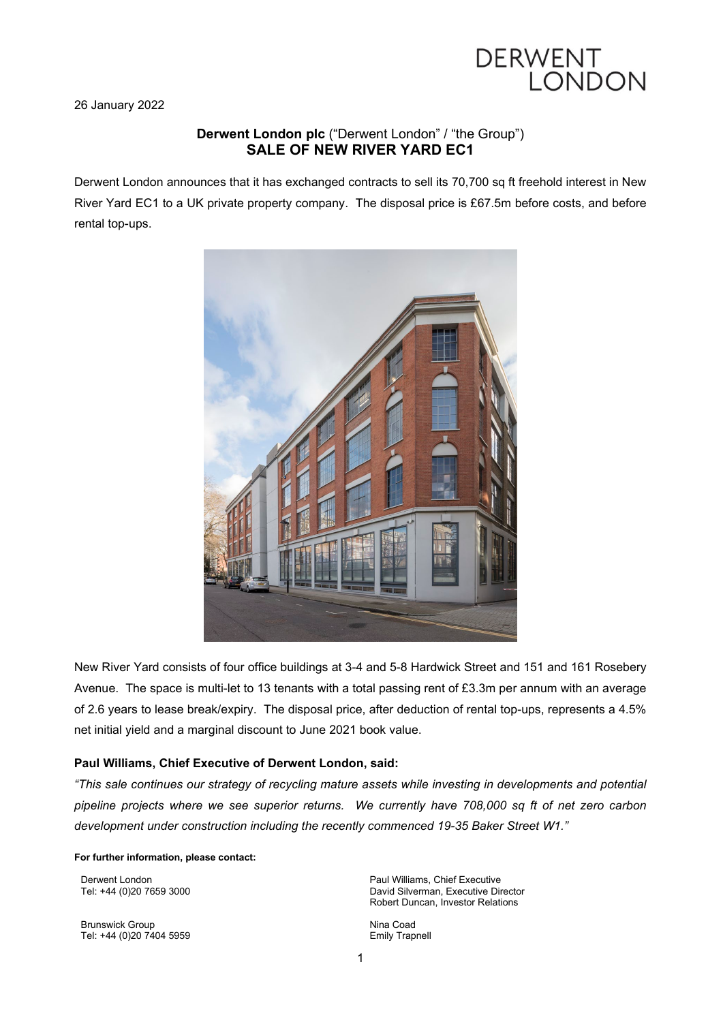

26 January 2022

# **Derwent London plc** ("Derwent London" / "the Group") **SALE OF NEW RIVER YARD EC1**

Derwent London announces that it has exchanged contracts to sell its 70,700 sq ft freehold interest in New River Yard EC1 to a UK private property company. The disposal price is £67.5m before costs, and before rental top-ups.



New River Yard consists of four office buildings at 3-4 and 5-8 Hardwick Street and 151 and 161 Rosebery Avenue. The space is multi-let to 13 tenants with a total passing rent of £3.3m per annum with an average of 2.6 years to lease break/expiry. The disposal price, after deduction of rental top-ups, represents a 4.5% net initial yield and a marginal discount to June 2021 book value.

## **Paul Williams, Chief Executive of Derwent London, said:**

*"This sale continues our strategy of recycling mature assets while investing in developments and potential pipeline projects where we see superior returns. We currently have 708,000 sq ft of net zero carbon development under construction including the recently commenced 19-35 Baker Street W1."*

#### **For further information, please contact:**

Derwent London Tel: +44 (0)20 7659 3000

Brunswick Group Tel: +44 (0)20 7404 5959 Paul Williams, Chief Executive David Silverman, Executive Director Robert Duncan, Investor Relations

Nina Coad Emily Trapnell